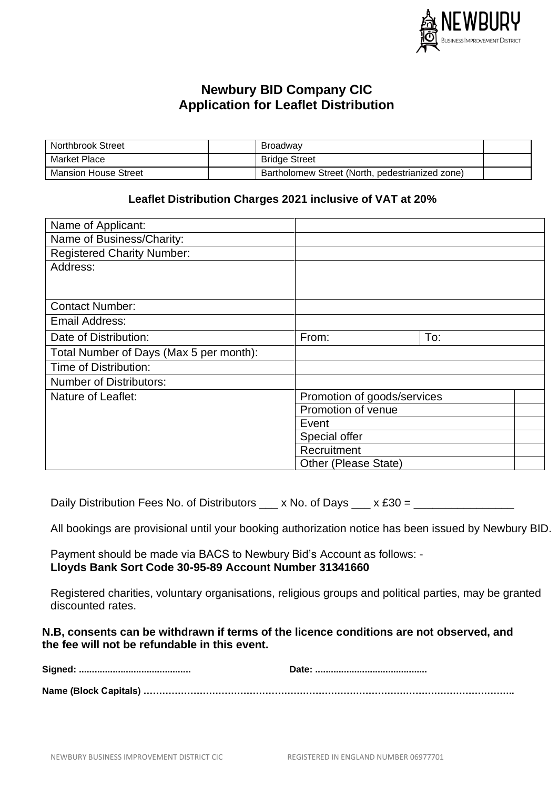

# **Newbury BID Company CIC Application for Leaflet Distribution**

| <b>Northbrook Street</b> | <b>Broadway</b>                                 |  |
|--------------------------|-------------------------------------------------|--|
| Market Place             | <b>Bridge Street</b>                            |  |
| Mansion House Street     | Bartholomew Street (North, pedestrianized zone) |  |

## **Leaflet Distribution Charges 2021 inclusive of VAT at 20%**

| Name of Applicant:                      |                             |
|-----------------------------------------|-----------------------------|
| Name of Business/Charity:               |                             |
| <b>Registered Charity Number:</b>       |                             |
| Address:                                |                             |
|                                         |                             |
|                                         |                             |
| <b>Contact Number:</b>                  |                             |
| Email Address:                          |                             |
| Date of Distribution:                   | To:<br>From:                |
| Total Number of Days (Max 5 per month): |                             |
| Time of Distribution:                   |                             |
| <b>Number of Distributors:</b>          |                             |
| Nature of Leaflet:                      | Promotion of goods/services |
|                                         | Promotion of venue          |
|                                         | Event                       |
|                                         | Special offer               |
|                                         | Recruitment                 |
|                                         | Other (Please State)        |

Daily Distribution Fees No. of Distributors  $\_\_\ x$  No. of Days  $\_\_\ x$  £30 =

All bookings are provisional until your booking authorization notice has been issued by Newbury BID.

Payment should be made via BACS to Newbury Bid's Account as follows: - **Lloyds Bank Sort Code 30-95-89 Account Number 31341660**

Registered charities, voluntary organisations, religious groups and political parties, may be granted discounted rates.

# **N.B, consents can be withdrawn if terms of the licence conditions are not observed, and the fee will not be refundable in this event.**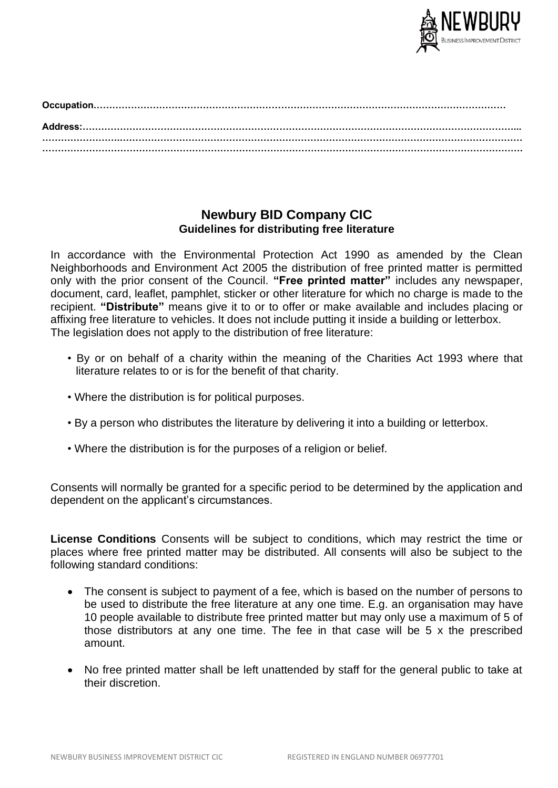

# **Newbury BID Company CIC Guidelines for distributing free literature**

In accordance with the Environmental Protection Act 1990 as amended by the Clean Neighborhoods and Environment Act 2005 the distribution of free printed matter is permitted only with the prior consent of the Council. **"Free printed matter"** includes any newspaper, document, card, leaflet, pamphlet, sticker or other literature for which no charge is made to the recipient. **"Distribute"** means give it to or to offer or make available and includes placing or affixing free literature to vehicles. It does not include putting it inside a building or letterbox. The legislation does not apply to the distribution of free literature:

- By or on behalf of a charity within the meaning of the Charities Act 1993 where that literature relates to or is for the benefit of that charity.
- Where the distribution is for political purposes.
- By a person who distributes the literature by delivering it into a building or letterbox.
- Where the distribution is for the purposes of a religion or belief.

Consents will normally be granted for a specific period to be determined by the application and dependent on the applicant's circumstances.

**License Conditions** Consents will be subject to conditions, which may restrict the time or places where free printed matter may be distributed. All consents will also be subject to the following standard conditions:

- The consent is subject to payment of a fee, which is based on the number of persons to be used to distribute the free literature at any one time. E.g. an organisation may have 10 people available to distribute free printed matter but may only use a maximum of 5 of those distributors at any one time. The fee in that case will be 5 x the prescribed amount.
- No free printed matter shall be left unattended by staff for the general public to take at their discretion.